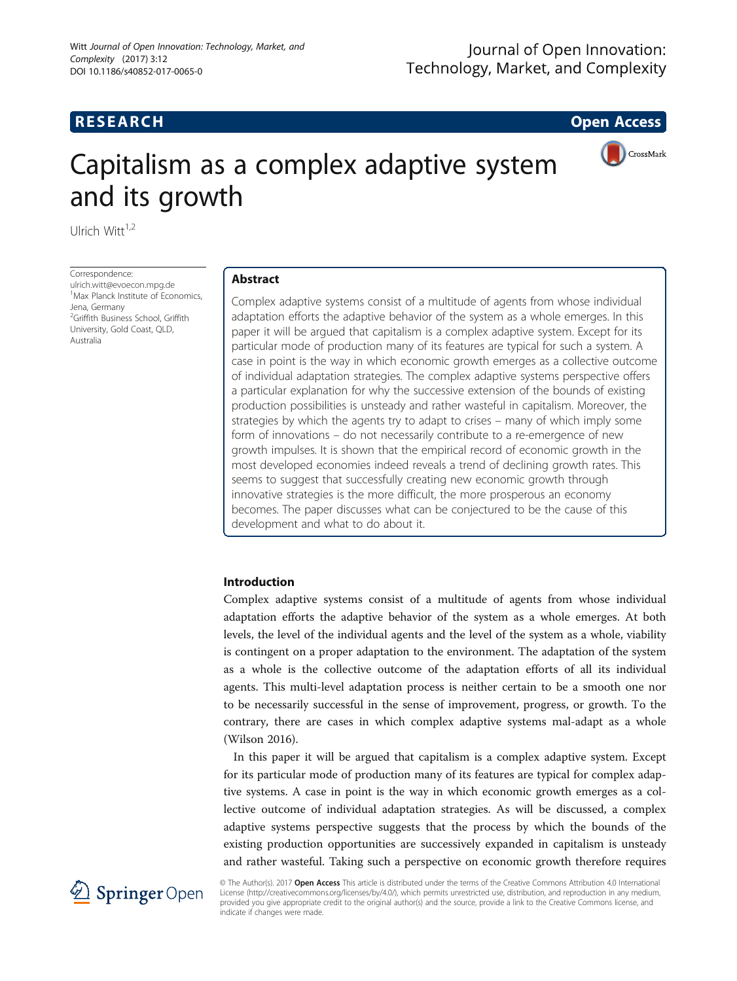# **RESEARCH RESEARCH CONSUMING ACCESS**

CrossMark

# Capitalism as a complex adaptive system and its growth

Ulrich Witt $1,2$ 

Correspondence: [ulrich.witt@evoecon.mpg.de](mailto:ulrich.witt@evoecon.mpg.de) 1 Max Planck Institute of Economics, Jena, Germany <sup>2</sup>Griffith Business School, Griffith University, Gold Coast, QLD, Australia

### Abstract

Complex adaptive systems consist of a multitude of agents from whose individual adaptation efforts the adaptive behavior of the system as a whole emerges. In this paper it will be argued that capitalism is a complex adaptive system. Except for its particular mode of production many of its features are typical for such a system. A case in point is the way in which economic growth emerges as a collective outcome of individual adaptation strategies. The complex adaptive systems perspective offers a particular explanation for why the successive extension of the bounds of existing production possibilities is unsteady and rather wasteful in capitalism. Moreover, the strategies by which the agents try to adapt to crises – many of which imply some form of innovations – do not necessarily contribute to a re-emergence of new growth impulses. It is shown that the empirical record of economic growth in the most developed economies indeed reveals a trend of declining growth rates. This seems to suggest that successfully creating new economic growth through innovative strategies is the more difficult, the more prosperous an economy becomes. The paper discusses what can be conjectured to be the cause of this development and what to do about it.

#### Introduction

Complex adaptive systems consist of a multitude of agents from whose individual adaptation efforts the adaptive behavior of the system as a whole emerges. At both levels, the level of the individual agents and the level of the system as a whole, viability is contingent on a proper adaptation to the environment. The adaptation of the system as a whole is the collective outcome of the adaptation efforts of all its individual agents. This multi-level adaptation process is neither certain to be a smooth one nor to be necessarily successful in the sense of improvement, progress, or growth. To the contrary, there are cases in which complex adaptive systems mal-adapt as a whole (Wilson [2016\)](#page-14-0).

In this paper it will be argued that capitalism is a complex adaptive system. Except for its particular mode of production many of its features are typical for complex adaptive systems. A case in point is the way in which economic growth emerges as a collective outcome of individual adaptation strategies. As will be discussed, a complex adaptive systems perspective suggests that the process by which the bounds of the existing production opportunities are successively expanded in capitalism is unsteady and rather wasteful. Taking such a perspective on economic growth therefore requires



© The Author(s). 2017 Open Access This article is distributed under the terms of the Creative Commons Attribution 4.0 International License [\(http://creativecommons.org/licenses/by/4.0/](http://creativecommons.org/licenses/by/4.0/)), which permits unrestricted use, distribution, and reproduction in any medium, provided you give appropriate credit to the original author(s) and the source, provide a link to the Creative Commons license, and indicate if changes were made.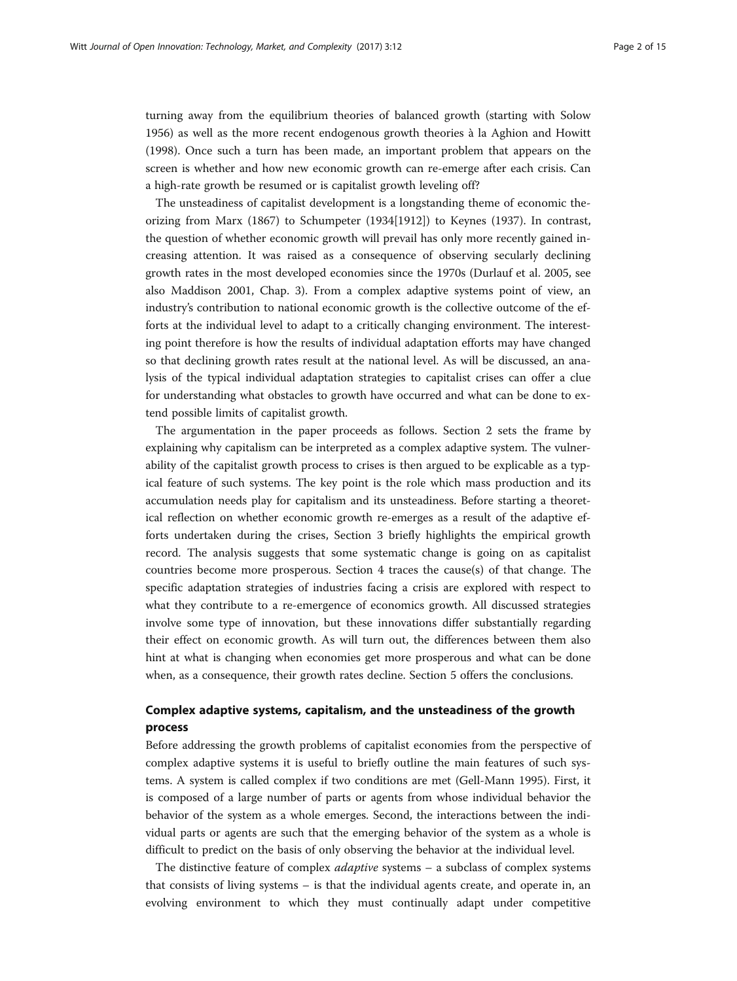turning away from the equilibrium theories of balanced growth (starting with Solow [1956](#page-14-0)) as well as the more recent endogenous growth theories à la Aghion and Howitt ([1998](#page-14-0)). Once such a turn has been made, an important problem that appears on the screen is whether and how new economic growth can re-emerge after each crisis. Can a high-rate growth be resumed or is capitalist growth leveling off?

The unsteadiness of capitalist development is a longstanding theme of economic theorizing from Marx [\(1867\)](#page-14-0) to Schumpeter ([1934\[](#page-14-0)1912]) to Keynes [\(1937\)](#page-14-0). In contrast, the question of whether economic growth will prevail has only more recently gained increasing attention. It was raised as a consequence of observing secularly declining growth rates in the most developed economies since the 1970s (Durlauf et al. [2005,](#page-14-0) see also Maddison [2001](#page-14-0), Chap. 3). From a complex adaptive systems point of view, an industry's contribution to national economic growth is the collective outcome of the efforts at the individual level to adapt to a critically changing environment. The interesting point therefore is how the results of individual adaptation efforts may have changed so that declining growth rates result at the national level. As will be discussed, an analysis of the typical individual adaptation strategies to capitalist crises can offer a clue for understanding what obstacles to growth have occurred and what can be done to extend possible limits of capitalist growth.

The argumentation in the paper proceeds as follows. Section 2 sets the frame by explaining why capitalism can be interpreted as a complex adaptive system. The vulnerability of the capitalist growth process to crises is then argued to be explicable as a typical feature of such systems. The key point is the role which mass production and its accumulation needs play for capitalism and its unsteadiness. Before starting a theoretical reflection on whether economic growth re-emerges as a result of the adaptive efforts undertaken during the crises, Section 3 briefly highlights the empirical growth record. The analysis suggests that some systematic change is going on as capitalist countries become more prosperous. Section 4 traces the cause(s) of that change. The specific adaptation strategies of industries facing a crisis are explored with respect to what they contribute to a re-emergence of economics growth. All discussed strategies involve some type of innovation, but these innovations differ substantially regarding their effect on economic growth. As will turn out, the differences between them also hint at what is changing when economies get more prosperous and what can be done when, as a consequence, their growth rates decline. Section 5 offers the conclusions.

## Complex adaptive systems, capitalism, and the unsteadiness of the growth process

Before addressing the growth problems of capitalist economies from the perspective of complex adaptive systems it is useful to briefly outline the main features of such systems. A system is called complex if two conditions are met (Gell-Mann [1995](#page-14-0)). First, it is composed of a large number of parts or agents from whose individual behavior the behavior of the system as a whole emerges. Second, the interactions between the individual parts or agents are such that the emerging behavior of the system as a whole is difficult to predict on the basis of only observing the behavior at the individual level.

The distinctive feature of complex *adaptive* systems – a subclass of complex systems that consists of living systems – is that the individual agents create, and operate in, an evolving environment to which they must continually adapt under competitive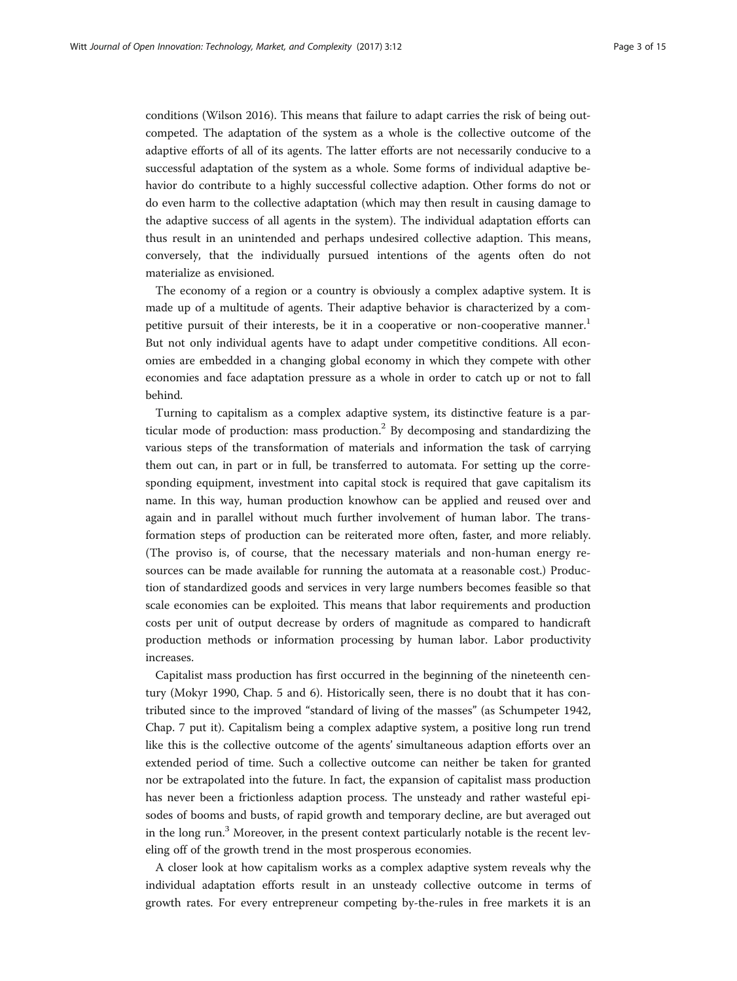conditions (Wilson [2016](#page-14-0)). This means that failure to adapt carries the risk of being outcompeted. The adaptation of the system as a whole is the collective outcome of the adaptive efforts of all of its agents. The latter efforts are not necessarily conducive to a successful adaptation of the system as a whole. Some forms of individual adaptive behavior do contribute to a highly successful collective adaption. Other forms do not or do even harm to the collective adaptation (which may then result in causing damage to the adaptive success of all agents in the system). The individual adaptation efforts can thus result in an unintended and perhaps undesired collective adaption. This means, conversely, that the individually pursued intentions of the agents often do not materialize as envisioned.

The economy of a region or a country is obviously a complex adaptive system. It is made up of a multitude of agents. Their adaptive behavior is characterized by a competitive pursuit of their interests, be it in a cooperative or non-cooperative manner.<sup>1</sup> But not only individual agents have to adapt under competitive conditions. All economies are embedded in a changing global economy in which they compete with other economies and face adaptation pressure as a whole in order to catch up or not to fall behind.

Turning to capitalism as a complex adaptive system, its distinctive feature is a particular mode of production: mass production.<sup>2</sup> By decomposing and standardizing the various steps of the transformation of materials and information the task of carrying them out can, in part or in full, be transferred to automata. For setting up the corresponding equipment, investment into capital stock is required that gave capitalism its name. In this way, human production knowhow can be applied and reused over and again and in parallel without much further involvement of human labor. The transformation steps of production can be reiterated more often, faster, and more reliably. (The proviso is, of course, that the necessary materials and non-human energy resources can be made available for running the automata at a reasonable cost.) Production of standardized goods and services in very large numbers becomes feasible so that scale economies can be exploited. This means that labor requirements and production costs per unit of output decrease by orders of magnitude as compared to handicraft production methods or information processing by human labor. Labor productivity increases.

Capitalist mass production has first occurred in the beginning of the nineteenth century (Mokyr [1990](#page-14-0), Chap. 5 and 6). Historically seen, there is no doubt that it has contributed since to the improved "standard of living of the masses" (as Schumpeter [1942](#page-14-0), Chap. 7 put it). Capitalism being a complex adaptive system, a positive long run trend like this is the collective outcome of the agents' simultaneous adaption efforts over an extended period of time. Such a collective outcome can neither be taken for granted nor be extrapolated into the future. In fact, the expansion of capitalist mass production has never been a frictionless adaption process. The unsteady and rather wasteful episodes of booms and busts, of rapid growth and temporary decline, are but averaged out in the long run. $3$  Moreover, in the present context particularly notable is the recent leveling off of the growth trend in the most prosperous economies.

A closer look at how capitalism works as a complex adaptive system reveals why the individual adaptation efforts result in an unsteady collective outcome in terms of growth rates. For every entrepreneur competing by-the-rules in free markets it is an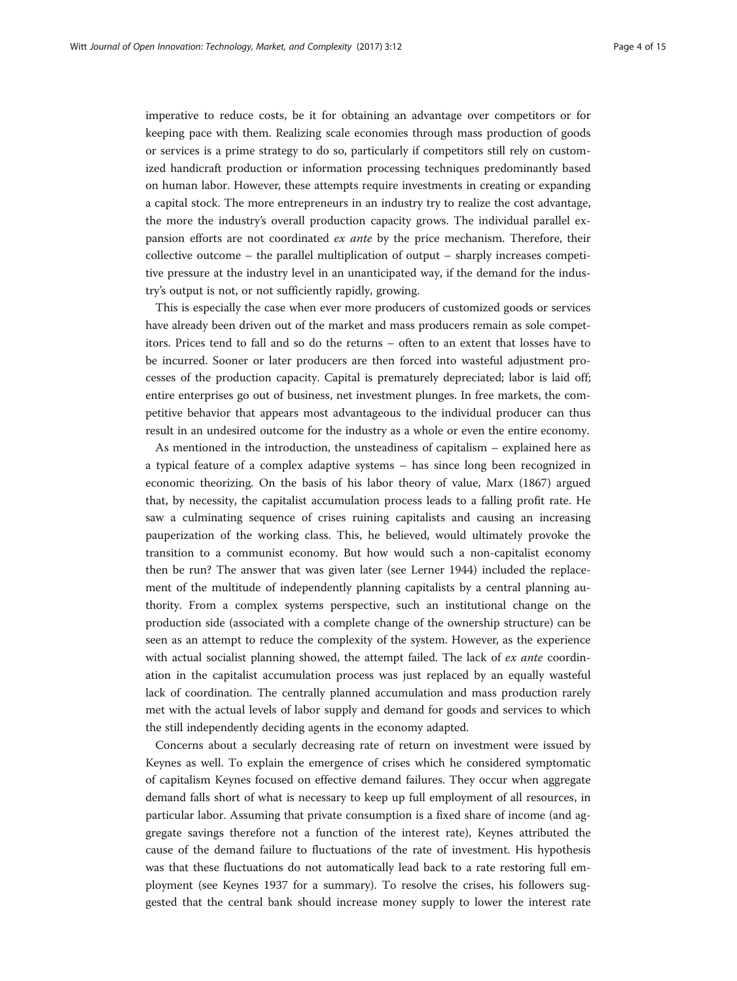imperative to reduce costs, be it for obtaining an advantage over competitors or for keeping pace with them. Realizing scale economies through mass production of goods or services is a prime strategy to do so, particularly if competitors still rely on customized handicraft production or information processing techniques predominantly based on human labor. However, these attempts require investments in creating or expanding a capital stock. The more entrepreneurs in an industry try to realize the cost advantage, the more the industry's overall production capacity grows. The individual parallel expansion efforts are not coordinated ex ante by the price mechanism. Therefore, their collective outcome – the parallel multiplication of output – sharply increases competitive pressure at the industry level in an unanticipated way, if the demand for the industry's output is not, or not sufficiently rapidly, growing.

This is especially the case when ever more producers of customized goods or services have already been driven out of the market and mass producers remain as sole competitors. Prices tend to fall and so do the returns – often to an extent that losses have to be incurred. Sooner or later producers are then forced into wasteful adjustment processes of the production capacity. Capital is prematurely depreciated; labor is laid off; entire enterprises go out of business, net investment plunges. In free markets, the competitive behavior that appears most advantageous to the individual producer can thus result in an undesired outcome for the industry as a whole or even the entire economy.

As mentioned in the introduction, the unsteadiness of capitalism – explained here as a typical feature of a complex adaptive systems – has since long been recognized in economic theorizing. On the basis of his labor theory of value, Marx ([1867](#page-14-0)) argued that, by necessity, the capitalist accumulation process leads to a falling profit rate. He saw a culminating sequence of crises ruining capitalists and causing an increasing pauperization of the working class. This, he believed, would ultimately provoke the transition to a communist economy. But how would such a non-capitalist economy then be run? The answer that was given later (see Lerner [1944\)](#page-14-0) included the replacement of the multitude of independently planning capitalists by a central planning authority. From a complex systems perspective, such an institutional change on the production side (associated with a complete change of the ownership structure) can be seen as an attempt to reduce the complexity of the system. However, as the experience with actual socialist planning showed, the attempt failed. The lack of  $ex$  ante coordination in the capitalist accumulation process was just replaced by an equally wasteful lack of coordination. The centrally planned accumulation and mass production rarely met with the actual levels of labor supply and demand for goods and services to which the still independently deciding agents in the economy adapted.

Concerns about a secularly decreasing rate of return on investment were issued by Keynes as well. To explain the emergence of crises which he considered symptomatic of capitalism Keynes focused on effective demand failures. They occur when aggregate demand falls short of what is necessary to keep up full employment of all resources, in particular labor. Assuming that private consumption is a fixed share of income (and aggregate savings therefore not a function of the interest rate), Keynes attributed the cause of the demand failure to fluctuations of the rate of investment. His hypothesis was that these fluctuations do not automatically lead back to a rate restoring full employment (see Keynes [1937](#page-14-0) for a summary). To resolve the crises, his followers suggested that the central bank should increase money supply to lower the interest rate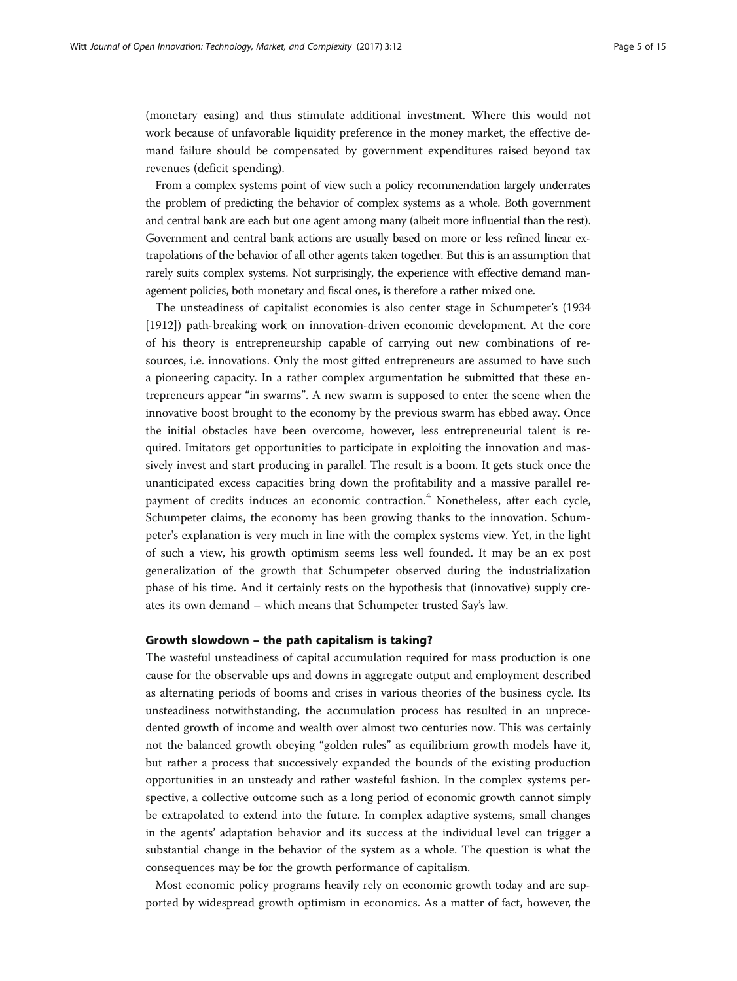(monetary easing) and thus stimulate additional investment. Where this would not work because of unfavorable liquidity preference in the money market, the effective demand failure should be compensated by government expenditures raised beyond tax revenues (deficit spending).

From a complex systems point of view such a policy recommendation largely underrates the problem of predicting the behavior of complex systems as a whole. Both government and central bank are each but one agent among many (albeit more influential than the rest). Government and central bank actions are usually based on more or less refined linear extrapolations of the behavior of all other agents taken together. But this is an assumption that rarely suits complex systems. Not surprisingly, the experience with effective demand management policies, both monetary and fiscal ones, is therefore a rather mixed one.

The unsteadiness of capitalist economies is also center stage in Schumpeter's [\(1934](#page-14-0) [1912]) path-breaking work on innovation-driven economic development. At the core of his theory is entrepreneurship capable of carrying out new combinations of resources, i.e. innovations. Only the most gifted entrepreneurs are assumed to have such a pioneering capacity. In a rather complex argumentation he submitted that these entrepreneurs appear "in swarms". A new swarm is supposed to enter the scene when the innovative boost brought to the economy by the previous swarm has ebbed away. Once the initial obstacles have been overcome, however, less entrepreneurial talent is required. Imitators get opportunities to participate in exploiting the innovation and massively invest and start producing in parallel. The result is a boom. It gets stuck once the unanticipated excess capacities bring down the profitability and a massive parallel repayment of credits induces an economic contraction.<sup>4</sup> Nonetheless, after each cycle, Schumpeter claims, the economy has been growing thanks to the innovation. Schumpeter's explanation is very much in line with the complex systems view. Yet, in the light of such a view, his growth optimism seems less well founded. It may be an ex post generalization of the growth that Schumpeter observed during the industrialization phase of his time. And it certainly rests on the hypothesis that (innovative) supply creates its own demand – which means that Schumpeter trusted Say's law.

#### Growth slowdown – the path capitalism is taking?

The wasteful unsteadiness of capital accumulation required for mass production is one cause for the observable ups and downs in aggregate output and employment described as alternating periods of booms and crises in various theories of the business cycle. Its unsteadiness notwithstanding, the accumulation process has resulted in an unprecedented growth of income and wealth over almost two centuries now. This was certainly not the balanced growth obeying "golden rules" as equilibrium growth models have it, but rather a process that successively expanded the bounds of the existing production opportunities in an unsteady and rather wasteful fashion. In the complex systems perspective, a collective outcome such as a long period of economic growth cannot simply be extrapolated to extend into the future. In complex adaptive systems, small changes in the agents' adaptation behavior and its success at the individual level can trigger a substantial change in the behavior of the system as a whole. The question is what the consequences may be for the growth performance of capitalism.

Most economic policy programs heavily rely on economic growth today and are supported by widespread growth optimism in economics. As a matter of fact, however, the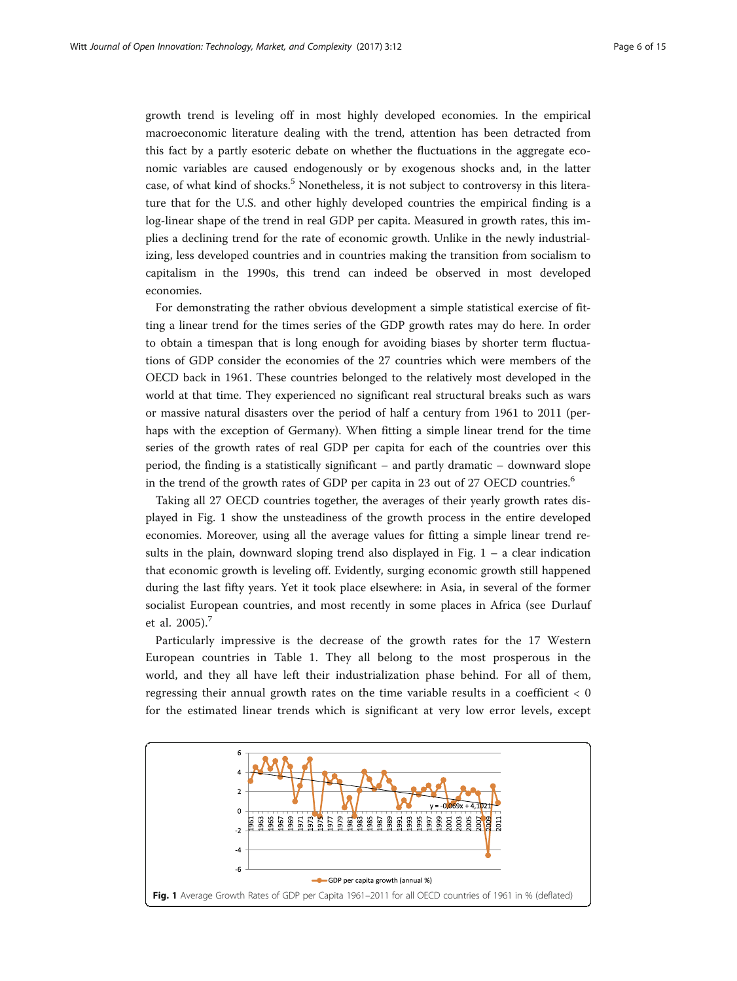growth trend is leveling off in most highly developed economies. In the empirical macroeconomic literature dealing with the trend, attention has been detracted from this fact by a partly esoteric debate on whether the fluctuations in the aggregate economic variables are caused endogenously or by exogenous shocks and, in the latter case, of what kind of shocks.<sup>5</sup> Nonetheless, it is not subject to controversy in this literature that for the U.S. and other highly developed countries the empirical finding is a log-linear shape of the trend in real GDP per capita. Measured in growth rates, this implies a declining trend for the rate of economic growth. Unlike in the newly industrializing, less developed countries and in countries making the transition from socialism to capitalism in the 1990s, this trend can indeed be observed in most developed economies.

For demonstrating the rather obvious development a simple statistical exercise of fitting a linear trend for the times series of the GDP growth rates may do here. In order to obtain a timespan that is long enough for avoiding biases by shorter term fluctuations of GDP consider the economies of the 27 countries which were members of the OECD back in 1961. These countries belonged to the relatively most developed in the world at that time. They experienced no significant real structural breaks such as wars or massive natural disasters over the period of half a century from 1961 to 2011 (perhaps with the exception of Germany). When fitting a simple linear trend for the time series of the growth rates of real GDP per capita for each of the countries over this period, the finding is a statistically significant – and partly dramatic – downward slope in the trend of the growth rates of GDP per capita in 23 out of 27 OECD countries.<sup>6</sup>

Taking all 27 OECD countries together, the averages of their yearly growth rates displayed in Fig. 1 show the unsteadiness of the growth process in the entire developed economies. Moreover, using all the average values for fitting a simple linear trend results in the plain, downward sloping trend also displayed in Fig.  $1 - a$  clear indication that economic growth is leveling off. Evidently, surging economic growth still happened during the last fifty years. Yet it took place elsewhere: in Asia, in several of the former socialist European countries, and most recently in some places in Africa (see Durlauf et al. [2005\)](#page-14-0).<sup>7</sup>

Particularly impressive is the decrease of the growth rates for the 17 Western European countries in Table [1.](#page-6-0) They all belong to the most prosperous in the world, and they all have left their industrialization phase behind. For all of them, regressing their annual growth rates on the time variable results in a coefficient < 0 for the estimated linear trends which is significant at very low error levels, except

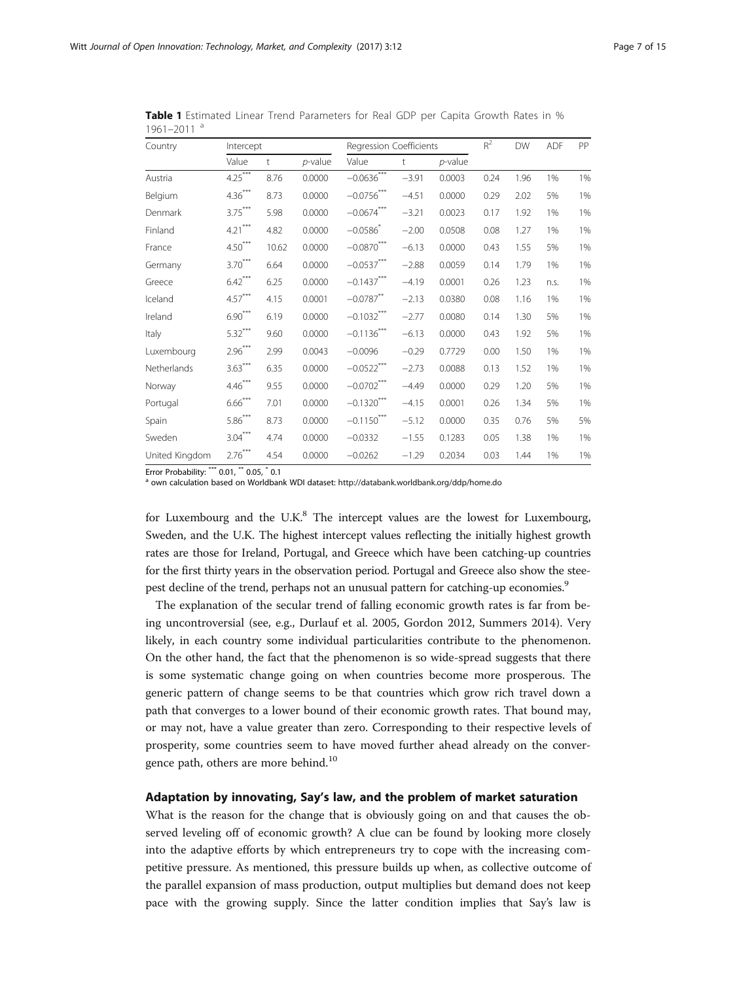| Country        | Intercept             |       |         | Regression Coefficients |         |            | $R^2$ | <b>DW</b> | <b>ADF</b> | PP |
|----------------|-----------------------|-------|---------|-------------------------|---------|------------|-------|-----------|------------|----|
|                | Value                 | t     | p-value | Value                   | t       | $p$ -value |       |           |            |    |
| Austria        | $4.25$ <sup>***</sup> | 8.76  | 0.0000  | $-0.0636^{***}$         | $-3.91$ | 0.0003     | 0.24  | 1.96      | 1%         | 1% |
| Belgium        | $4.36***$             | 8.73  | 0.0000  | $-0.0756***$            | $-4.51$ | 0.0000     | 0.29  | 2.02      | 5%         | 1% |
| Denmark        | $3.75***$             | 5.98  | 0.0000  | $-0.0674***$            | $-3.21$ | 0.0023     | 0.17  | 1.92      | 1%         | 1% |
| Finland        | $4.21***$             | 4.82  | 0.0000  | $-0.0586$ *             | $-2.00$ | 0.0508     | 0.08  | 1.27      | 1%         | 1% |
| France         | $4.50***$             | 10.62 | 0.0000  | $-0.0870$ ***           | $-6.13$ | 0.0000     | 0.43  | 1.55      | 5%         | 1% |
| Germany        | $3.70***$             | 6.64  | 0.0000  | $-0.0537***$            | $-2.88$ | 0.0059     | 0.14  | 1.79      | 1%         | 1% |
| Greece         | $6.42***$             | 6.25  | 0.0000  | $-0.1437***$            | $-4.19$ | 0.0001     | 0.26  | 1.23      | n.s.       | 1% |
| Iceland        | $4.57***$             | 4.15  | 0.0001  | $-0.0787$ **            | $-2.13$ | 0.0380     | 0.08  | 1.16      | 1%         | 1% |
| Ireland        | $6.90***$             | 6.19  | 0.0000  | $-0.1032$ ***           | $-2.77$ | 0.0080     | 0.14  | 1.30      | 5%         | 1% |
| Italy          | $5.32***$             | 9.60  | 0.0000  | $-0.1136***$            | $-6.13$ | 0.0000     | 0.43  | 1.92      | 5%         | 1% |
| Luxembourg     | $2.96***$             | 2.99  | 0.0043  | $-0.0096$               | $-0.29$ | 0.7729     | 0.00  | 1.50      | 1%         | 1% |
| Netherlands    | $3.63***$             | 6.35  | 0.0000  | $-0.0522***$            | $-2.73$ | 0.0088     | 0.13  | 1.52      | 1%         | 1% |
| Norway         | $4.46***$             | 9.55  | 0.0000  | $-0.0702***$            | $-4.49$ | 0.0000     | 0.29  | 1.20      | 5%         | 1% |
| Portugal       | $6.66***$             | 7.01  | 0.0000  | $-0.1320***$            | $-4.15$ | 0.0001     | 0.26  | 1.34      | 5%         | 1% |
| Spain          | $5.86***$             | 8.73  | 0.0000  | $-0.1150$ ***           | $-5.12$ | 0.0000     | 0.35  | 0.76      | 5%         | 5% |
| Sweden         | $3.04***$             | 4.74  | 0.0000  | $-0.0332$               | $-1.55$ | 0.1283     | 0.05  | 1.38      | 1%         | 1% |
| United Kingdom | $2.76***$             | 4.54  | 0.0000  | $-0.0262$               | $-1.29$ | 0.2034     | 0.03  | 1.44      | 1%         | 1% |

<span id="page-6-0"></span>Table 1 Estimated Linear Trend Parameters for Real GDP per Capita Growth Rates in %  $1961 - 2011$ <sup>a</sup>

Error Probability: \*\*\* 0.01, \*\* 0.05, \* 0.1<br><sup>a</sup> own calculation based on Worldbank WDI dataset: <http://databank.worldbank.org/ddp/home.do>

for Luxembourg and the U.K. $8$  The intercept values are the lowest for Luxembourg, Sweden, and the U.K. The highest intercept values reflecting the initially highest growth rates are those for Ireland, Portugal, and Greece which have been catching-up countries for the first thirty years in the observation period. Portugal and Greece also show the steepest decline of the trend, perhaps not an unusual pattern for catching-up economies.9

The explanation of the secular trend of falling economic growth rates is far from being uncontroversial (see, e.g., Durlauf et al. [2005,](#page-14-0) Gordon [2012,](#page-14-0) Summers [2014](#page-14-0)). Very likely, in each country some individual particularities contribute to the phenomenon. On the other hand, the fact that the phenomenon is so wide-spread suggests that there is some systematic change going on when countries become more prosperous. The generic pattern of change seems to be that countries which grow rich travel down a path that converges to a lower bound of their economic growth rates. That bound may, or may not, have a value greater than zero. Corresponding to their respective levels of prosperity, some countries seem to have moved further ahead already on the convergence path, others are more behind.<sup>10</sup>

#### Adaptation by innovating, Say's law, and the problem of market saturation

What is the reason for the change that is obviously going on and that causes the observed leveling off of economic growth? A clue can be found by looking more closely into the adaptive efforts by which entrepreneurs try to cope with the increasing competitive pressure. As mentioned, this pressure builds up when, as collective outcome of the parallel expansion of mass production, output multiplies but demand does not keep pace with the growing supply. Since the latter condition implies that Say's law is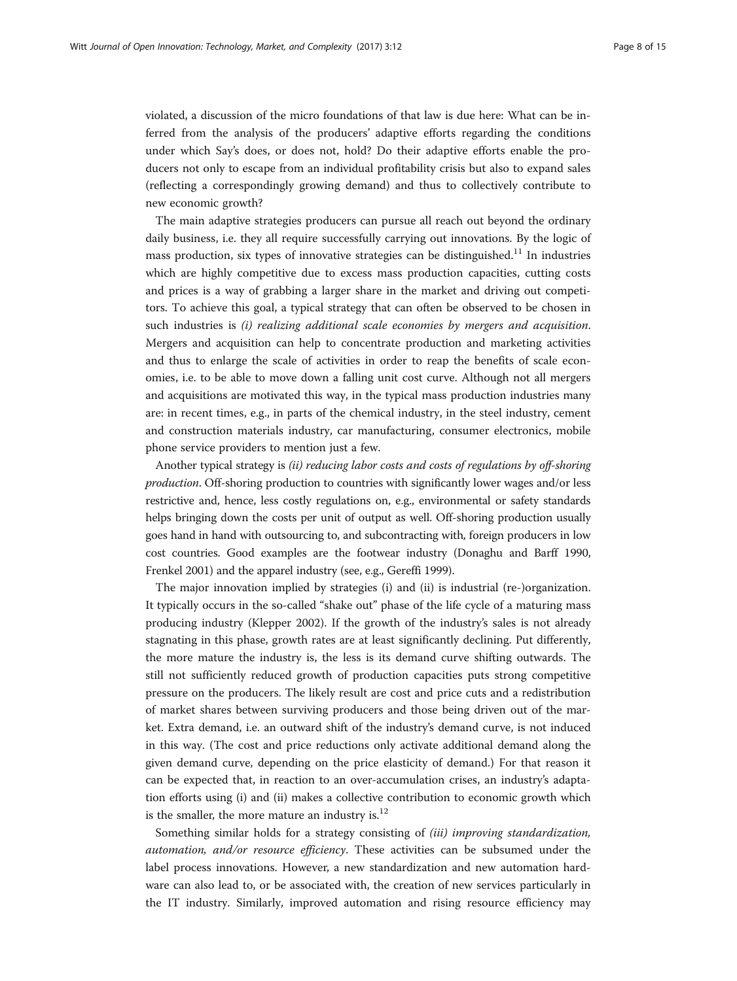violated, a discussion of the micro foundations of that law is due here: What can be inferred from the analysis of the producers' adaptive efforts regarding the conditions under which Say's does, or does not, hold? Do their adaptive efforts enable the producers not only to escape from an individual profitability crisis but also to expand sales (reflecting a correspondingly growing demand) and thus to collectively contribute to new economic growth?

The main adaptive strategies producers can pursue all reach out beyond the ordinary daily business, i.e. they all require successfully carrying out innovations. By the logic of mass production, six types of innovative strategies can be distinguished.<sup>11</sup> In industries which are highly competitive due to excess mass production capacities, cutting costs and prices is a way of grabbing a larger share in the market and driving out competitors. To achieve this goal, a typical strategy that can often be observed to be chosen in such industries is (i) realizing additional scale economies by mergers and acquisition. Mergers and acquisition can help to concentrate production and marketing activities and thus to enlarge the scale of activities in order to reap the benefits of scale economies, i.e. to be able to move down a falling unit cost curve. Although not all mergers and acquisitions are motivated this way, in the typical mass production industries many are: in recent times, e.g., in parts of the chemical industry, in the steel industry, cement and construction materials industry, car manufacturing, consumer electronics, mobile phone service providers to mention just a few.

Another typical strategy is (ii) reducing labor costs and costs of regulations by off-shoring production. Off-shoring production to countries with significantly lower wages and/or less restrictive and, hence, less costly regulations on, e.g., environmental or safety standards helps bringing down the costs per unit of output as well. Off-shoring production usually goes hand in hand with outsourcing to, and subcontracting with, foreign producers in low cost countries. Good examples are the footwear industry (Donaghu and Barff [1990](#page-14-0), Frenkel [2001](#page-14-0)) and the apparel industry (see, e.g., Gereffi [1999](#page-14-0)).

The major innovation implied by strategies (i) and (ii) is industrial (re-)organization. It typically occurs in the so-called "shake out" phase of the life cycle of a maturing mass producing industry (Klepper [2002\)](#page-14-0). If the growth of the industry's sales is not already stagnating in this phase, growth rates are at least significantly declining. Put differently, the more mature the industry is, the less is its demand curve shifting outwards. The still not sufficiently reduced growth of production capacities puts strong competitive pressure on the producers. The likely result are cost and price cuts and a redistribution of market shares between surviving producers and those being driven out of the market. Extra demand, i.e. an outward shift of the industry's demand curve, is not induced in this way. (The cost and price reductions only activate additional demand along the given demand curve, depending on the price elasticity of demand.) For that reason it can be expected that, in reaction to an over-accumulation crises, an industry's adaptation efforts using (i) and (ii) makes a collective contribution to economic growth which is the smaller, the more mature an industry is. $^{12}$ 

Something similar holds for a strategy consisting of (iii) improving standardization, automation, and/or resource efficiency. These activities can be subsumed under the label process innovations. However, a new standardization and new automation hardware can also lead to, or be associated with, the creation of new services particularly in the IT industry. Similarly, improved automation and rising resource efficiency may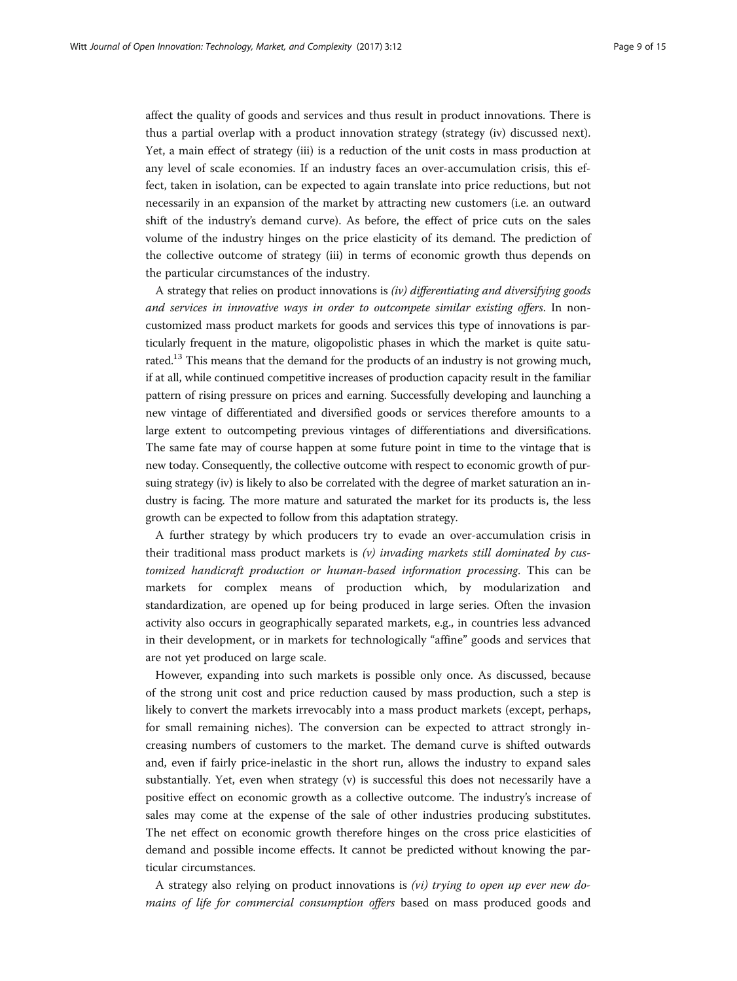affect the quality of goods and services and thus result in product innovations. There is thus a partial overlap with a product innovation strategy (strategy (iv) discussed next). Yet, a main effect of strategy (iii) is a reduction of the unit costs in mass production at any level of scale economies. If an industry faces an over-accumulation crisis, this effect, taken in isolation, can be expected to again translate into price reductions, but not necessarily in an expansion of the market by attracting new customers (i.e. an outward shift of the industry's demand curve). As before, the effect of price cuts on the sales volume of the industry hinges on the price elasticity of its demand. The prediction of the collective outcome of strategy (iii) in terms of economic growth thus depends on the particular circumstances of the industry.

A strategy that relies on product innovations is  $(iv)$  differentiating and diversifying goods and services in innovative ways in order to outcompete similar existing offers. In noncustomized mass product markets for goods and services this type of innovations is particularly frequent in the mature, oligopolistic phases in which the market is quite saturated.<sup>13</sup> This means that the demand for the products of an industry is not growing much, if at all, while continued competitive increases of production capacity result in the familiar pattern of rising pressure on prices and earning. Successfully developing and launching a new vintage of differentiated and diversified goods or services therefore amounts to a large extent to outcompeting previous vintages of differentiations and diversifications. The same fate may of course happen at some future point in time to the vintage that is new today. Consequently, the collective outcome with respect to economic growth of pursuing strategy (iv) is likely to also be correlated with the degree of market saturation an industry is facing. The more mature and saturated the market for its products is, the less growth can be expected to follow from this adaptation strategy.

A further strategy by which producers try to evade an over-accumulation crisis in their traditional mass product markets is  $(v)$  invading markets still dominated by customized handicraft production or human-based information processing. This can be markets for complex means of production which, by modularization and standardization, are opened up for being produced in large series. Often the invasion activity also occurs in geographically separated markets, e.g., in countries less advanced in their development, or in markets for technologically "affine" goods and services that are not yet produced on large scale.

However, expanding into such markets is possible only once. As discussed, because of the strong unit cost and price reduction caused by mass production, such a step is likely to convert the markets irrevocably into a mass product markets (except, perhaps, for small remaining niches). The conversion can be expected to attract strongly increasing numbers of customers to the market. The demand curve is shifted outwards and, even if fairly price-inelastic in the short run, allows the industry to expand sales substantially. Yet, even when strategy (v) is successful this does not necessarily have a positive effect on economic growth as a collective outcome. The industry's increase of sales may come at the expense of the sale of other industries producing substitutes. The net effect on economic growth therefore hinges on the cross price elasticities of demand and possible income effects. It cannot be predicted without knowing the particular circumstances.

A strategy also relying on product innovations is (vi) trying to open up ever new domains of life for commercial consumption offers based on mass produced goods and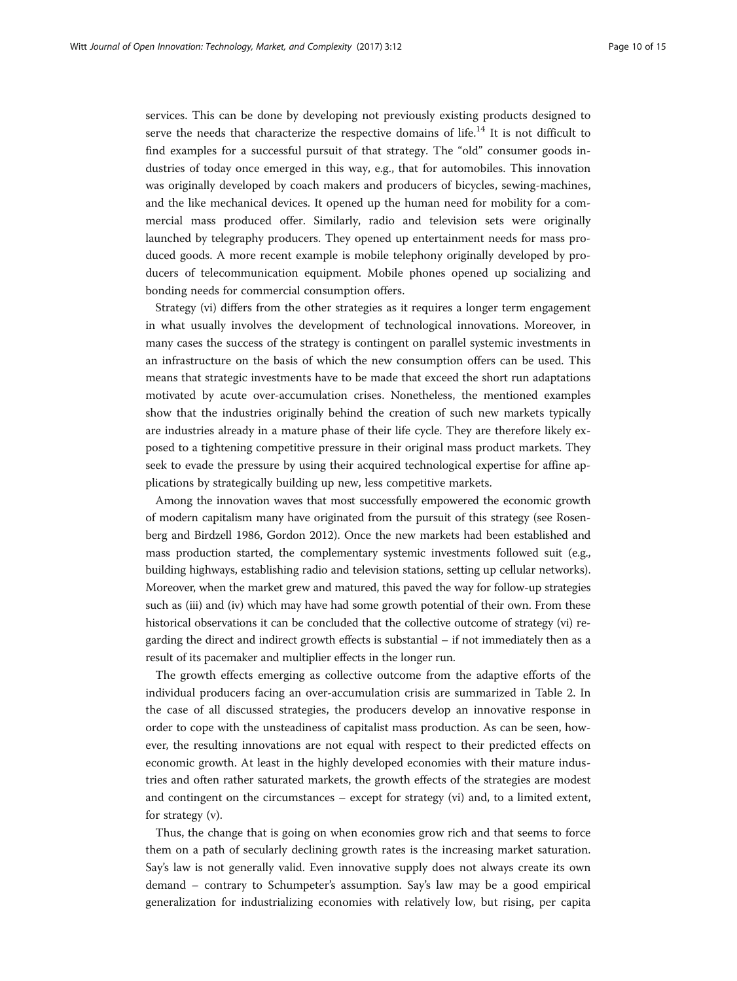services. This can be done by developing not previously existing products designed to serve the needs that characterize the respective domains of life. $14$  It is not difficult to find examples for a successful pursuit of that strategy. The "old" consumer goods industries of today once emerged in this way, e.g., that for automobiles. This innovation was originally developed by coach makers and producers of bicycles, sewing-machines, and the like mechanical devices. It opened up the human need for mobility for a commercial mass produced offer. Similarly, radio and television sets were originally launched by telegraphy producers. They opened up entertainment needs for mass produced goods. A more recent example is mobile telephony originally developed by producers of telecommunication equipment. Mobile phones opened up socializing and bonding needs for commercial consumption offers.

Strategy (vi) differs from the other strategies as it requires a longer term engagement in what usually involves the development of technological innovations. Moreover, in many cases the success of the strategy is contingent on parallel systemic investments in an infrastructure on the basis of which the new consumption offers can be used. This means that strategic investments have to be made that exceed the short run adaptations motivated by acute over-accumulation crises. Nonetheless, the mentioned examples show that the industries originally behind the creation of such new markets typically are industries already in a mature phase of their life cycle. They are therefore likely exposed to a tightening competitive pressure in their original mass product markets. They seek to evade the pressure by using their acquired technological expertise for affine applications by strategically building up new, less competitive markets.

Among the innovation waves that most successfully empowered the economic growth of modern capitalism many have originated from the pursuit of this strategy (see Rosenberg and Birdzell [1986](#page-14-0), Gordon [2012\)](#page-14-0). Once the new markets had been established and mass production started, the complementary systemic investments followed suit (e.g., building highways, establishing radio and television stations, setting up cellular networks). Moreover, when the market grew and matured, this paved the way for follow-up strategies such as (iii) and (iv) which may have had some growth potential of their own. From these historical observations it can be concluded that the collective outcome of strategy (vi) regarding the direct and indirect growth effects is substantial – if not immediately then as a result of its pacemaker and multiplier effects in the longer run.

The growth effects emerging as collective outcome from the adaptive efforts of the individual producers facing an over-accumulation crisis are summarized in Table [2](#page-10-0). In the case of all discussed strategies, the producers develop an innovative response in order to cope with the unsteadiness of capitalist mass production. As can be seen, however, the resulting innovations are not equal with respect to their predicted effects on economic growth. At least in the highly developed economies with their mature industries and often rather saturated markets, the growth effects of the strategies are modest and contingent on the circumstances – except for strategy (vi) and, to a limited extent, for strategy (v).

Thus, the change that is going on when economies grow rich and that seems to force them on a path of secularly declining growth rates is the increasing market saturation. Say's law is not generally valid. Even innovative supply does not always create its own demand – contrary to Schumpeter's assumption. Say's law may be a good empirical generalization for industrializing economies with relatively low, but rising, per capita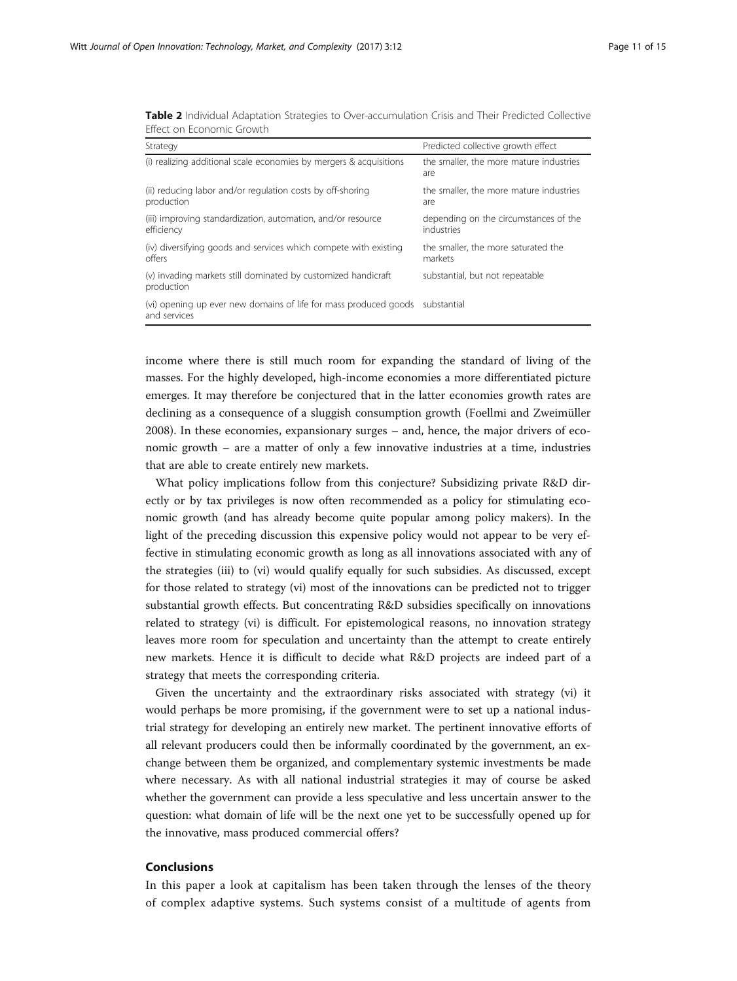<span id="page-10-0"></span>Table 2 Individual Adaptation Strategies to Over-accumulation Crisis and Their Predicted Collective Effect on Economic Growth

| Strategy                                                                         | Predicted collective growth effect                  |
|----------------------------------------------------------------------------------|-----------------------------------------------------|
| (i) realizing additional scale economies by mergers & acquisitions               | the smaller, the more mature industries<br>are      |
| (ii) reducing labor and/or regulation costs by off-shoring<br>production         | the smaller, the more mature industries<br>are      |
| (iii) improving standardization, automation, and/or resource<br>efficiency       | depending on the circumstances of the<br>industries |
| (iv) diversifying goods and services which compete with existing<br>offers       | the smaller, the more saturated the<br>markets      |
| (v) invading markets still dominated by customized handicraft<br>production      | substantial, but not repeatable                     |
| (vi) opening up ever new domains of life for mass produced goods<br>and services | substantial                                         |

income where there is still much room for expanding the standard of living of the masses. For the highly developed, high-income economies a more differentiated picture emerges. It may therefore be conjectured that in the latter economies growth rates are declining as a consequence of a sluggish consumption growth (Foellmi and Zweimüller [2008](#page-14-0)). In these economies, expansionary surges – and, hence, the major drivers of economic growth – are a matter of only a few innovative industries at a time, industries that are able to create entirely new markets.

What policy implications follow from this conjecture? Subsidizing private R&D directly or by tax privileges is now often recommended as a policy for stimulating economic growth (and has already become quite popular among policy makers). In the light of the preceding discussion this expensive policy would not appear to be very effective in stimulating economic growth as long as all innovations associated with any of the strategies (iii) to (vi) would qualify equally for such subsidies. As discussed, except for those related to strategy (vi) most of the innovations can be predicted not to trigger substantial growth effects. But concentrating R&D subsidies specifically on innovations related to strategy (vi) is difficult. For epistemological reasons, no innovation strategy leaves more room for speculation and uncertainty than the attempt to create entirely new markets. Hence it is difficult to decide what R&D projects are indeed part of a strategy that meets the corresponding criteria.

Given the uncertainty and the extraordinary risks associated with strategy (vi) it would perhaps be more promising, if the government were to set up a national industrial strategy for developing an entirely new market. The pertinent innovative efforts of all relevant producers could then be informally coordinated by the government, an exchange between them be organized, and complementary systemic investments be made where necessary. As with all national industrial strategies it may of course be asked whether the government can provide a less speculative and less uncertain answer to the question: what domain of life will be the next one yet to be successfully opened up for the innovative, mass produced commercial offers?

#### Conclusions

In this paper a look at capitalism has been taken through the lenses of the theory of complex adaptive systems. Such systems consist of a multitude of agents from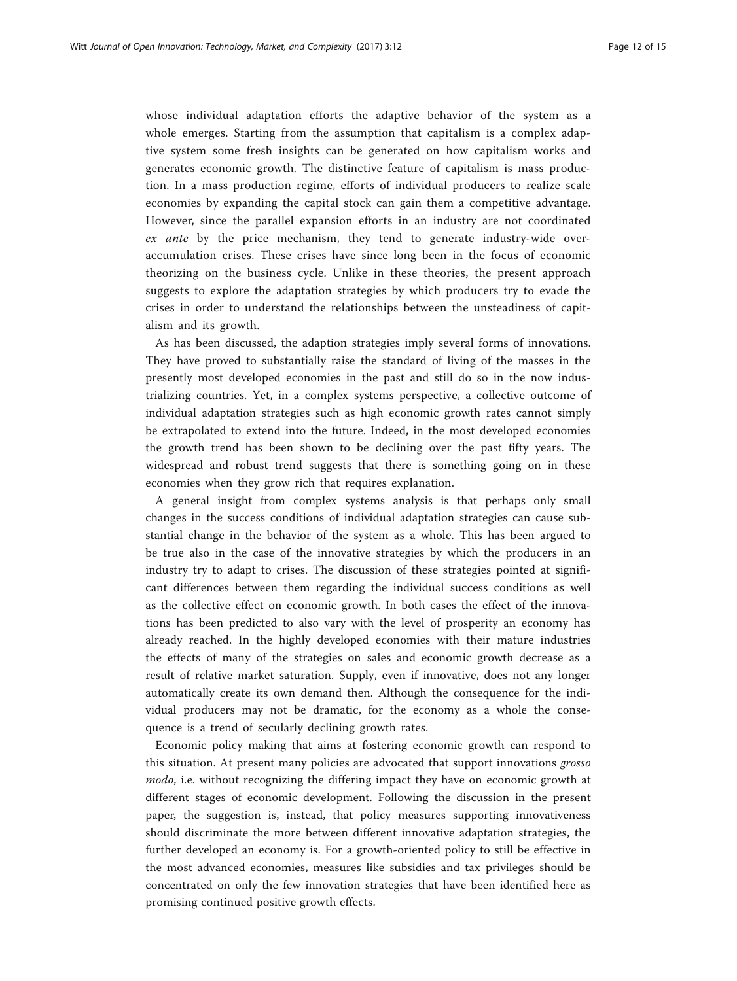whose individual adaptation efforts the adaptive behavior of the system as a whole emerges. Starting from the assumption that capitalism is a complex adaptive system some fresh insights can be generated on how capitalism works and generates economic growth. The distinctive feature of capitalism is mass production. In a mass production regime, efforts of individual producers to realize scale economies by expanding the capital stock can gain them a competitive advantage. However, since the parallel expansion efforts in an industry are not coordinated ex ante by the price mechanism, they tend to generate industry-wide overaccumulation crises. These crises have since long been in the focus of economic theorizing on the business cycle. Unlike in these theories, the present approach suggests to explore the adaptation strategies by which producers try to evade the crises in order to understand the relationships between the unsteadiness of capitalism and its growth.

As has been discussed, the adaption strategies imply several forms of innovations. They have proved to substantially raise the standard of living of the masses in the presently most developed economies in the past and still do so in the now industrializing countries. Yet, in a complex systems perspective, a collective outcome of individual adaptation strategies such as high economic growth rates cannot simply be extrapolated to extend into the future. Indeed, in the most developed economies the growth trend has been shown to be declining over the past fifty years. The widespread and robust trend suggests that there is something going on in these economies when they grow rich that requires explanation.

A general insight from complex systems analysis is that perhaps only small changes in the success conditions of individual adaptation strategies can cause substantial change in the behavior of the system as a whole. This has been argued to be true also in the case of the innovative strategies by which the producers in an industry try to adapt to crises. The discussion of these strategies pointed at significant differences between them regarding the individual success conditions as well as the collective effect on economic growth. In both cases the effect of the innovations has been predicted to also vary with the level of prosperity an economy has already reached. In the highly developed economies with their mature industries the effects of many of the strategies on sales and economic growth decrease as a result of relative market saturation. Supply, even if innovative, does not any longer automatically create its own demand then. Although the consequence for the individual producers may not be dramatic, for the economy as a whole the consequence is a trend of secularly declining growth rates.

Economic policy making that aims at fostering economic growth can respond to this situation. At present many policies are advocated that support innovations grosso modo, i.e. without recognizing the differing impact they have on economic growth at different stages of economic development. Following the discussion in the present paper, the suggestion is, instead, that policy measures supporting innovativeness should discriminate the more between different innovative adaptation strategies, the further developed an economy is. For a growth-oriented policy to still be effective in the most advanced economies, measures like subsidies and tax privileges should be concentrated on only the few innovation strategies that have been identified here as promising continued positive growth effects.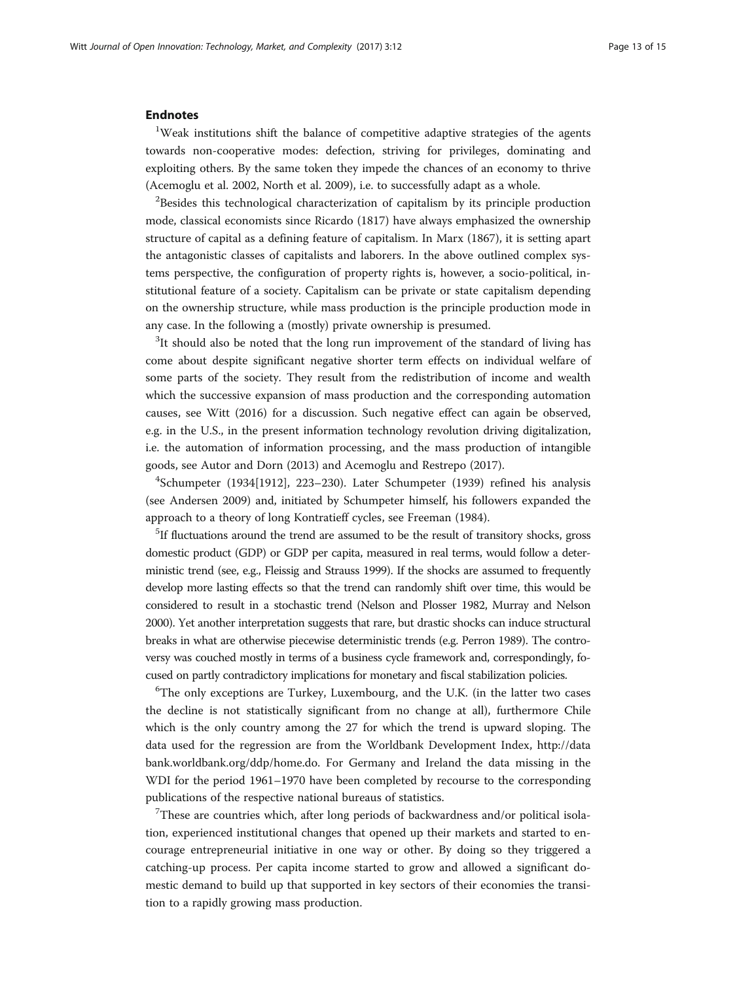#### **Endnotes**

<sup>1</sup>Weak institutions shift the balance of competitive adaptive strategies of the agents towards non-cooperative modes: defection, striving for privileges, dominating and exploiting others. By the same token they impede the chances of an economy to thrive (Acemoglu et al. [2002](#page-14-0), North et al. [2009](#page-14-0)), i.e. to successfully adapt as a whole.

 $2$ Besides this technological characterization of capitalism by its principle production mode, classical economists since Ricardo ([1817](#page-14-0)) have always emphasized the ownership structure of capital as a defining feature of capitalism. In Marx ([1867](#page-14-0)), it is setting apart the antagonistic classes of capitalists and laborers. In the above outlined complex systems perspective, the configuration of property rights is, however, a socio-political, institutional feature of a society. Capitalism can be private or state capitalism depending on the ownership structure, while mass production is the principle production mode in any case. In the following a (mostly) private ownership is presumed.

 $3$ It should also be noted that the long run improvement of the standard of living has come about despite significant negative shorter term effects on individual welfare of some parts of the society. They result from the redistribution of income and wealth which the successive expansion of mass production and the corresponding automation causes, see Witt [\(2016\)](#page-14-0) for a discussion. Such negative effect can again be observed, e.g. in the U.S., in the present information technology revolution driving digitalization, i.e. the automation of information processing, and the mass production of intangible goods, see Autor and Dorn ([2013\)](#page-14-0) and Acemoglu and Restrepo [\(2017\)](#page-14-0).

4 Schumpeter ([1934](#page-14-0)[1912], 223–230). Later Schumpeter ([1939](#page-14-0)) refined his analysis (see Andersen [2009\)](#page-14-0) and, initiated by Schumpeter himself, his followers expanded the approach to a theory of long Kontratieff cycles, see Freeman [\(1984\)](#page-14-0).

<sup>5</sup>If fluctuations around the trend are assumed to be the result of transitory shocks, gross domestic product (GDP) or GDP per capita, measured in real terms, would follow a deterministic trend (see, e.g., Fleissig and Strauss [1999\)](#page-14-0). If the shocks are assumed to frequently develop more lasting effects so that the trend can randomly shift over time, this would be considered to result in a stochastic trend (Nelson and Plosser [1982,](#page-14-0) Murray and Nelson [2000\)](#page-14-0). Yet another interpretation suggests that rare, but drastic shocks can induce structural breaks in what are otherwise piecewise deterministic trends (e.g. Perron [1989\)](#page-14-0). The controversy was couched mostly in terms of a business cycle framework and, correspondingly, focused on partly contradictory implications for monetary and fiscal stabilization policies.

<sup>6</sup>The only exceptions are Turkey, Luxembourg, and the U.K. (in the latter two cases the decline is not statistically significant from no change at all), furthermore Chile which is the only country among the 27 for which the trend is upward sloping. The data used for the regression are from the Worldbank Development Index, [http://data](http://databank.worldbank.org/ddp/home.do) [bank.worldbank.org/ddp/home.do.](http://databank.worldbank.org/ddp/home.do) For Germany and Ireland the data missing in the WDI for the period 1961–1970 have been completed by recourse to the corresponding publications of the respective national bureaus of statistics.

 $7$ These are countries which, after long periods of backwardness and/or political isolation, experienced institutional changes that opened up their markets and started to encourage entrepreneurial initiative in one way or other. By doing so they triggered a catching-up process. Per capita income started to grow and allowed a significant domestic demand to build up that supported in key sectors of their economies the transition to a rapidly growing mass production.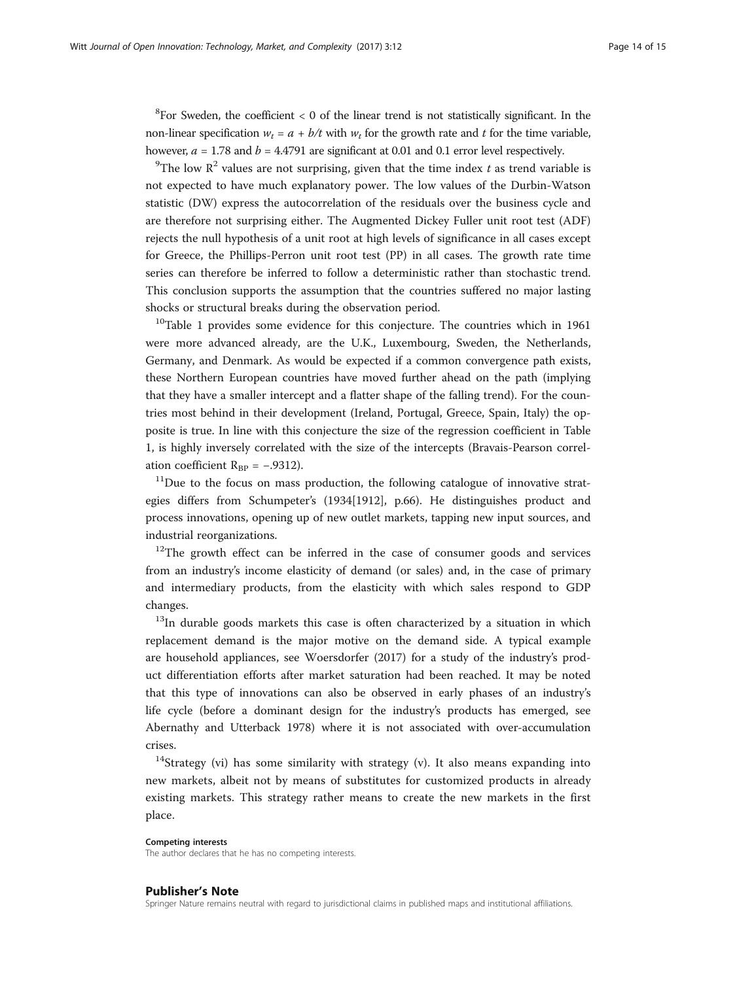${}^{8}$ For Sweden, the coefficient < 0 of the linear trend is not statistically significant. In the non-linear specification  $w_t = a + b/t$  with  $w_t$  for the growth rate and t for the time variable, however,  $a = 1.78$  and  $b = 4.4791$  are significant at 0.01 and 0.1 error level respectively.

<sup>9</sup>The low R<sup>2</sup> values are not surprising, given that the time index t as trend variable is not expected to have much explanatory power. The low values of the Durbin-Watson statistic (DW) express the autocorrelation of the residuals over the business cycle and are therefore not surprising either. The Augmented Dickey Fuller unit root test (ADF) rejects the null hypothesis of a unit root at high levels of significance in all cases except for Greece, the Phillips-Perron unit root test (PP) in all cases. The growth rate time series can therefore be inferred to follow a deterministic rather than stochastic trend. This conclusion supports the assumption that the countries suffered no major lasting shocks or structural breaks during the observation period.

 $10$ Table [1](#page-6-0) provides some evidence for this conjecture. The countries which in 1961 were more advanced already, are the U.K., Luxembourg, Sweden, the Netherlands, Germany, and Denmark. As would be expected if a common convergence path exists, these Northern European countries have moved further ahead on the path (implying that they have a smaller intercept and a flatter shape of the falling trend). For the countries most behind in their development (Ireland, Portugal, Greece, Spain, Italy) the opposite is true. In line with this conjecture the size of the regression coefficient in Table [1,](#page-6-0) is highly inversely correlated with the size of the intercepts (Bravais-Pearson correlation coefficient  $R_{BP} = -.9312$ ).

 $11$ Due to the focus on mass production, the following catalogue of innovative strategies differs from Schumpeter's ([1934\[](#page-14-0)1912], p.66). He distinguishes product and process innovations, opening up of new outlet markets, tapping new input sources, and industrial reorganizations.

 $12$ The growth effect can be inferred in the case of consumer goods and services from an industry's income elasticity of demand (or sales) and, in the case of primary and intermediary products, from the elasticity with which sales respond to GDP changes.

 $13$ In durable goods markets this case is often characterized by a situation in which replacement demand is the major motive on the demand side. A typical example are household appliances, see Woersdorfer ([2017](#page-14-0)) for a study of the industry's product differentiation efforts after market saturation had been reached. It may be noted that this type of innovations can also be observed in early phases of an industry's life cycle (before a dominant design for the industry's products has emerged, see Abernathy and Utterback [1978\)](#page-14-0) where it is not associated with over-accumulation crises.

 $14$ Strategy (vi) has some similarity with strategy (v). It also means expanding into new markets, albeit not by means of substitutes for customized products in already existing markets. This strategy rather means to create the new markets in the first place.

The author declares that he has no competing interests.

#### Publisher's Note

Springer Nature remains neutral with regard to jurisdictional claims in published maps and institutional affiliations.